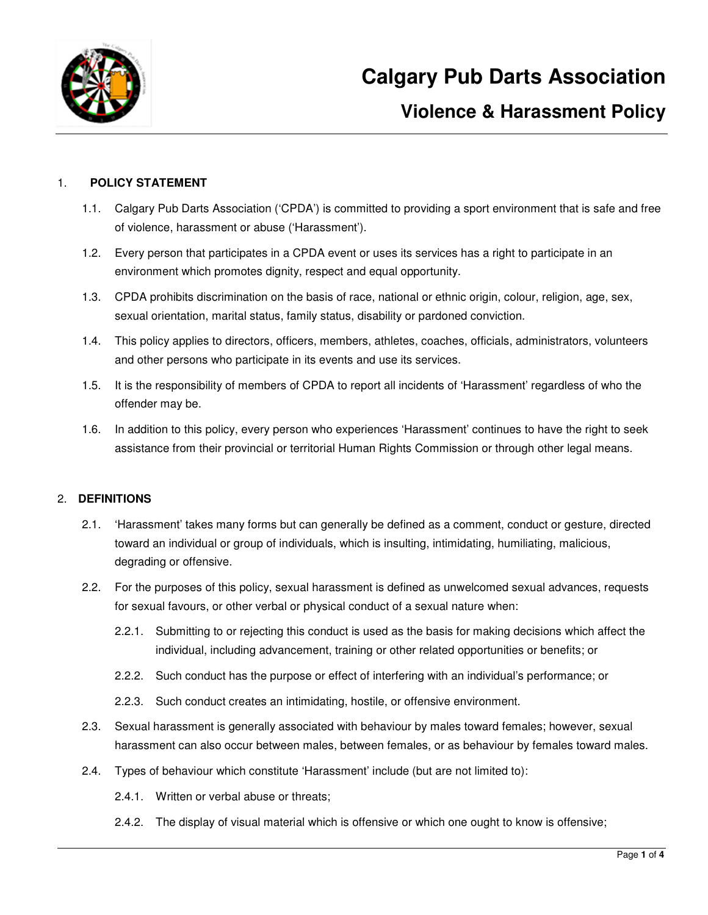

### 1. **POLICY STATEMENT**

- 1.1. Calgary Pub Darts Association ('CPDA') is committed to providing a sport environment that is safe and free of violence, harassment or abuse ('Harassment').
- 1.2. Every person that participates in a CPDA event or uses its services has a right to participate in an environment which promotes dignity, respect and equal opportunity.
- 1.3. CPDA prohibits discrimination on the basis of race, national or ethnic origin, colour, religion, age, sex, sexual orientation, marital status, family status, disability or pardoned conviction.
- 1.4. This policy applies to directors, officers, members, athletes, coaches, officials, administrators, volunteers and other persons who participate in its events and use its services.
- 1.5. It is the responsibility of members of CPDA to report all incidents of 'Harassment' regardless of who the offender may be.
- 1.6. In addition to this policy, every person who experiences 'Harassment' continues to have the right to seek assistance from their provincial or territorial Human Rights Commission or through other legal means.

### 2. **DEFINITIONS**

- 2.1. 'Harassment' takes many forms but can generally be defined as a comment, conduct or gesture, directed toward an individual or group of individuals, which is insulting, intimidating, humiliating, malicious, degrading or offensive.
- 2.2. For the purposes of this policy, sexual harassment is defined as unwelcomed sexual advances, requests for sexual favours, or other verbal or physical conduct of a sexual nature when:
	- 2.2.1. Submitting to or rejecting this conduct is used as the basis for making decisions which affect the individual, including advancement, training or other related opportunities or benefits; or
	- 2.2.2. Such conduct has the purpose or effect of interfering with an individual's performance; or
	- 2.2.3. Such conduct creates an intimidating, hostile, or offensive environment.
- 2.3. Sexual harassment is generally associated with behaviour by males toward females; however, sexual harassment can also occur between males, between females, or as behaviour by females toward males.
- 2.4. Types of behaviour which constitute 'Harassment' include (but are not limited to):
	- 2.4.1. Written or verbal abuse or threats;
	- 2.4.2. The display of visual material which is offensive or which one ought to know is offensive;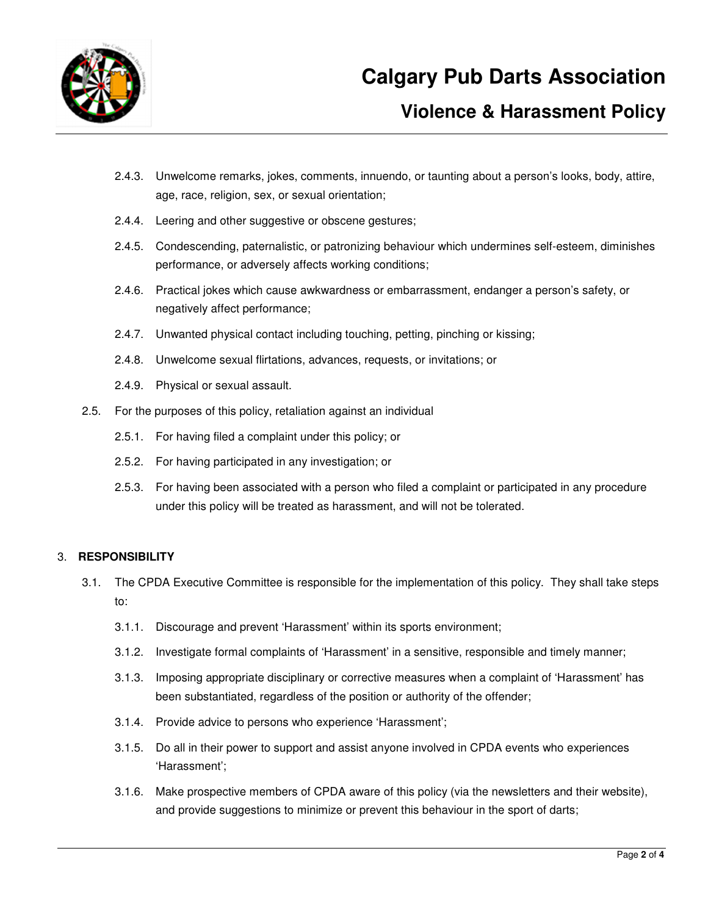

# **Violence & Harassment Policy**

- 2.4.3. Unwelcome remarks, jokes, comments, innuendo, or taunting about a person's looks, body, attire, age, race, religion, sex, or sexual orientation;
- 2.4.4. Leering and other suggestive or obscene gestures;
- 2.4.5. Condescending, paternalistic, or patronizing behaviour which undermines self-esteem, diminishes performance, or adversely affects working conditions;
- 2.4.6. Practical jokes which cause awkwardness or embarrassment, endanger a person's safety, or negatively affect performance;
- 2.4.7. Unwanted physical contact including touching, petting, pinching or kissing;
- 2.4.8. Unwelcome sexual flirtations, advances, requests, or invitations; or
- 2.4.9. Physical or sexual assault.
- 2.5. For the purposes of this policy, retaliation against an individual
	- 2.5.1. For having filed a complaint under this policy; or
	- 2.5.2. For having participated in any investigation; or
	- 2.5.3. For having been associated with a person who filed a complaint or participated in any procedure under this policy will be treated as harassment, and will not be tolerated.

### 3. **RESPONSIBILITY**

- 3.1. The CPDA Executive Committee is responsible for the implementation of this policy. They shall take steps to:
	- 3.1.1. Discourage and prevent 'Harassment' within its sports environment;
	- 3.1.2. Investigate formal complaints of 'Harassment' in a sensitive, responsible and timely manner;
	- 3.1.3. Imposing appropriate disciplinary or corrective measures when a complaint of 'Harassment' has been substantiated, regardless of the position or authority of the offender;
	- 3.1.4. Provide advice to persons who experience 'Harassment';
	- 3.1.5. Do all in their power to support and assist anyone involved in CPDA events who experiences 'Harassment';
	- 3.1.6. Make prospective members of CPDA aware of this policy (via the newsletters and their website), and provide suggestions to minimize or prevent this behaviour in the sport of darts;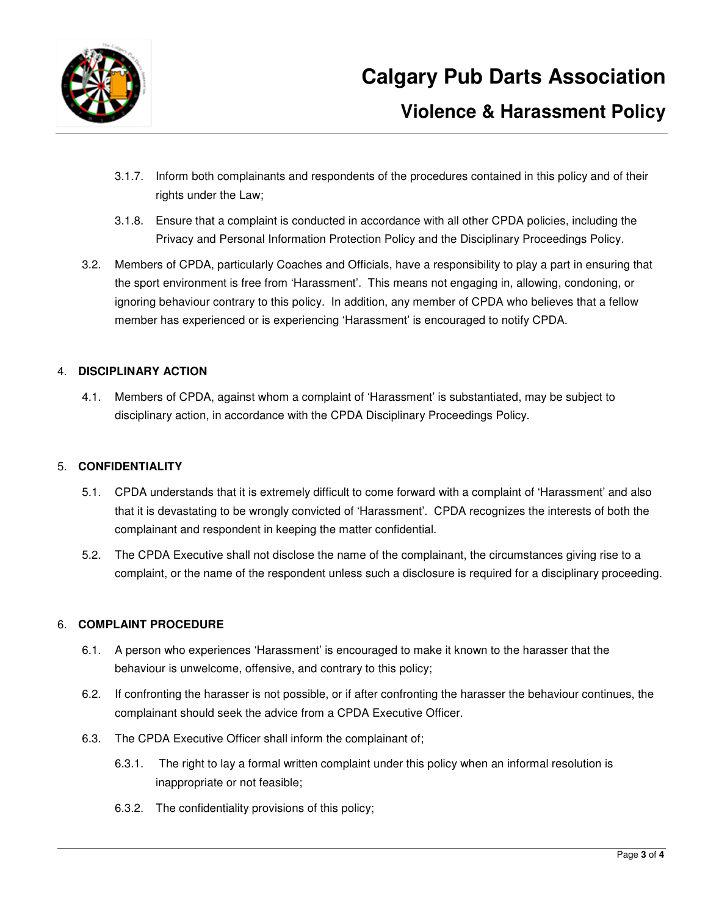

## **Violence & Harassment Policy**

- 3.1.7. Inform both complainants and respondents of the procedures contained in this policy and of their rights under the Law;
- 3.1.8. Ensure that a complaint is conducted in accordance with all other CPDA policies, including the Privacy and Personal Information Protection Policy and the Disciplinary Proceedings Policy.
- 3.2. Members of CPDA, particularly Coaches and Officials, have a responsibility to play a part in ensuring that the sport environment is free from 'Harassment'. This means not engaging in, allowing, condoning, or ignoring behaviour contrary to this policy. In addition, any member of CPDA who believes that a fellow member has experienced or is experiencing 'Harassment' is encouraged to notify CPDA.

## 4. **DISCIPLINARY ACTION**

4.1. Members of CPDA, against whom a complaint of 'Harassment' is substantiated, may be subject to disciplinary action, in accordance with the CPDA Disciplinary Proceedings Policy.

## 5. **CONFIDENTIALITY**

- 5.1. CPDA understands that it is extremely difficult to come forward with a complaint of 'Harassment' and also that it is devastating to be wrongly convicted of 'Harassment'. CPDA recognizes the interests of both the complainant and respondent in keeping the matter confidential.
- 5.2. The CPDA Executive shall not disclose the name of the complainant, the circumstances giving rise to a complaint, or the name of the respondent unless such a disclosure is required for a disciplinary proceeding.

### 6. **COMPLAINT PROCEDURE**

- 6.1. A person who experiences 'Harassment' is encouraged to make it known to the harasser that the behaviour is unwelcome, offensive, and contrary to this policy;
- 6.2. If confronting the harasser is not possible, or if after confronting the harasser the behaviour continues, the complainant should seek the advice from a CPDA Executive Officer.
- 6.3. The CPDA Executive Officer shall inform the complainant of;
	- 6.3.1. The right to lay a formal written complaint under this policy when an informal resolution is inappropriate or not feasible;
	- 6.3.2. The confidentiality provisions of this policy;